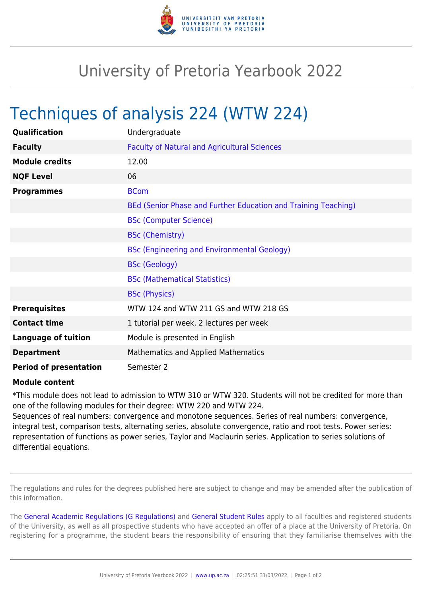

## University of Pretoria Yearbook 2022

## Techniques of analysis 224 (WTW 224)

| Qualification                 | Undergraduate                                                  |
|-------------------------------|----------------------------------------------------------------|
| <b>Faculty</b>                | <b>Faculty of Natural and Agricultural Sciences</b>            |
| <b>Module credits</b>         | 12.00                                                          |
| <b>NQF Level</b>              | 06                                                             |
| <b>Programmes</b>             | <b>BCom</b>                                                    |
|                               | BEd (Senior Phase and Further Education and Training Teaching) |
|                               | <b>BSc (Computer Science)</b>                                  |
|                               | <b>BSc (Chemistry)</b>                                         |
|                               | <b>BSc (Engineering and Environmental Geology)</b>             |
|                               | <b>BSc (Geology)</b>                                           |
|                               | <b>BSc (Mathematical Statistics)</b>                           |
|                               | <b>BSc (Physics)</b>                                           |
| <b>Prerequisites</b>          | WTW 124 and WTW 211 GS and WTW 218 GS                          |
| <b>Contact time</b>           | 1 tutorial per week, 2 lectures per week                       |
| <b>Language of tuition</b>    | Module is presented in English                                 |
| <b>Department</b>             | <b>Mathematics and Applied Mathematics</b>                     |
| <b>Period of presentation</b> | Semester 2                                                     |

## **Module content**

\*This module does not lead to admission to WTW 310 or WTW 320. Students will not be credited for more than one of the following modules for their degree: WTW 220 and WTW 224.

Sequences of real numbers: convergence and monotone sequences. Series of real numbers: convergence, integral test, comparison tests, alternating series, absolute convergence, ratio and root tests. Power series: representation of functions as power series, Taylor and Maclaurin series. Application to series solutions of differential equations.

The regulations and rules for the degrees published here are subject to change and may be amended after the publication of this information.

The [General Academic Regulations \(G Regulations\)](https://www.up.ac.za/yearbooks/2022/rules/view/REG) and [General Student Rules](https://www.up.ac.za/yearbooks/2022/rules/view/RUL) apply to all faculties and registered students of the University, as well as all prospective students who have accepted an offer of a place at the University of Pretoria. On registering for a programme, the student bears the responsibility of ensuring that they familiarise themselves with the